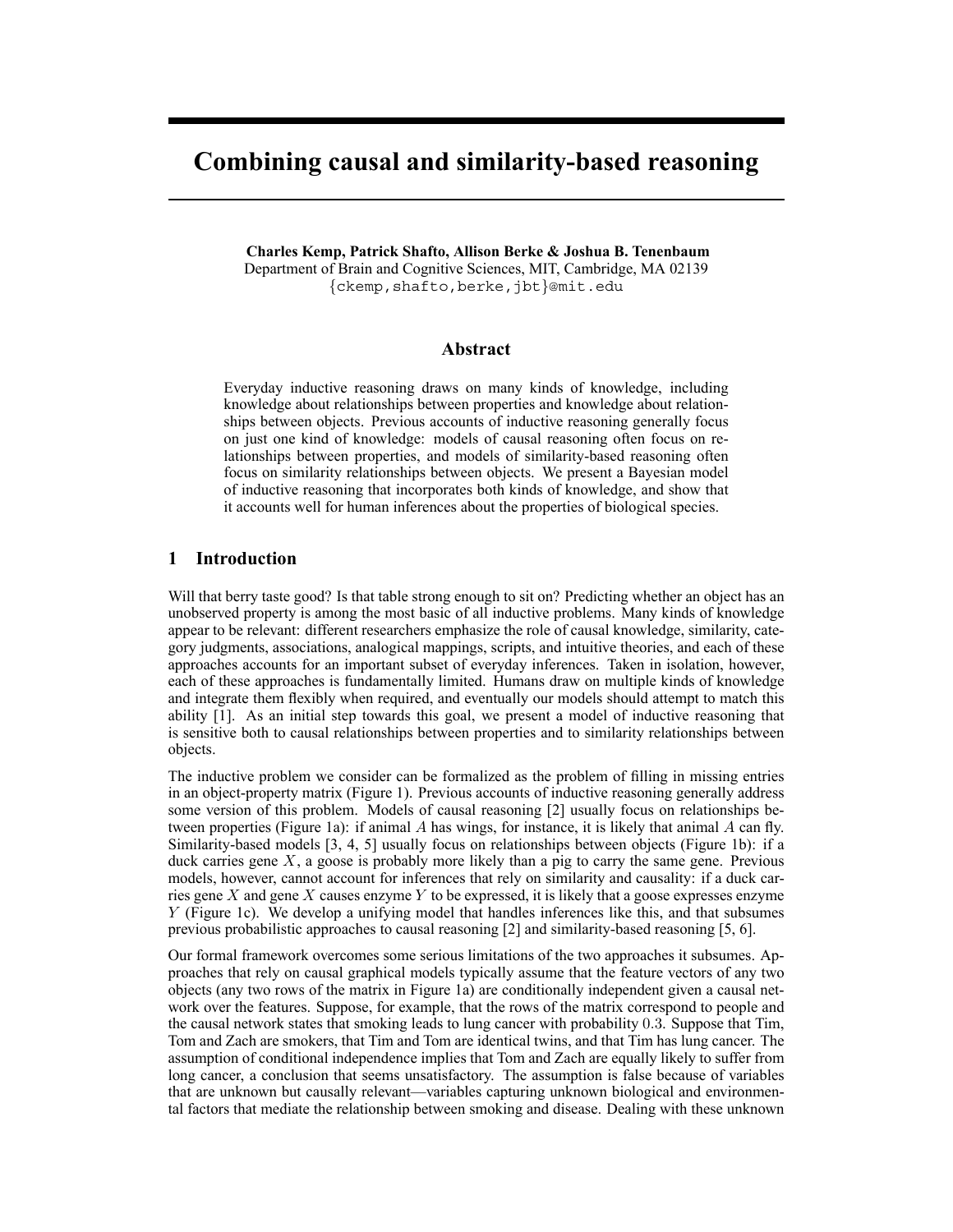# **Combining causal and similarity-based reasoning**

**Charles Kemp, Patrick Shafto, Allison Berke & Joshua B. Tenenbaum** Department of Brain and Cognitive Sciences, MIT, Cambridge, MA 02139 {ckemp,shafto,berke,jbt}@mit.edu

#### **Abstract**

Everyday inductive reasoning draws on many kinds of knowledge, including knowledge about relationships between properties and knowledge about relationships between objects. Previous accounts of inductive reasoning generally focus on just one kind of knowledge: models of causal reasoning often focus on relationships between properties, and models of similarity-based reasoning often focus on similarity relationships between objects. We present a Bayesian model of inductive reasoning that incorporates both kinds of knowledge, and show that it accounts well for human inferences about the properties of biological species.

#### **1 Introduction**

Will that berry taste good? Is that table strong enough to sit on? Predicting whether an object has an unobserved property is among the most basic of all inductive problems. Many kinds of knowledge appear to be relevant: different researchers emphasize the role of causal knowledge, similarity, category judgments, associations, analogical mappings, scripts, and intuitive theories, and each of these approaches accounts for an important subset of everyday inferences. Taken in isolation, however, each of these approaches is fundamentally limited. Humans draw on multiple kinds of knowledge and integrate them flexibly when required, and eventually our models should attempt to match this ability [1]. As an initial step towards this goal, we present a model of inductive reasoning that is sensitive both to causal relationships between properties and to similarity relationships between objects.

The inductive problem we consider can be formalized as the problem of filling in missing entries in an object-property matrix (Figure 1). Previous accounts of inductive reasoning generally address some version of this problem. Models of causal reasoning [2] usually focus on relationships between properties (Figure 1a): if animal  $A$  has wings, for instance, it is likely that animal  $A$  can fly. Similarity-based models [3, 4, 5] usually focus on relationships between objects (Figure 1b): if a duck carries gene  $X$ , a goose is probably more likely than a pig to carry the same gene. Previous models, however, cannot account for inferences that rely on similarity and causality: if a duck carries gene X and gene X causes enzyme Y to be expressed, it is likely that a goose expresses enzyme Y (Figure 1c). We develop a unifying model that handles inferences like this, and that subsumes previous probabilistic approaches to causal reasoning [2] and similarity-based reasoning [5, 6].

Our formal framework overcomes some serious limitations of the two approaches it subsumes. Approaches that rely on causal graphical models typically assume that the feature vectors of any two objects (any two rows of the matrix in Figure 1a) are conditionally independent given a causal network over the features. Suppose, for example, that the rows of the matrix correspond to people and the causal network states that smoking leads to lung cancer with probability 0.3. Suppose that Tim, Tom and Zach are smokers, that Tim and Tom are identical twins, and that Tim has lung cancer. The assumption of conditional independence implies that Tom and Zach are equally likely to suffer from long cancer, a conclusion that seems unsatisfactory. The assumption is false because of variables that are unknown but causally relevant—variables capturing unknown biological and environmental factors that mediate the relationship between smoking and disease. Dealing with these unknown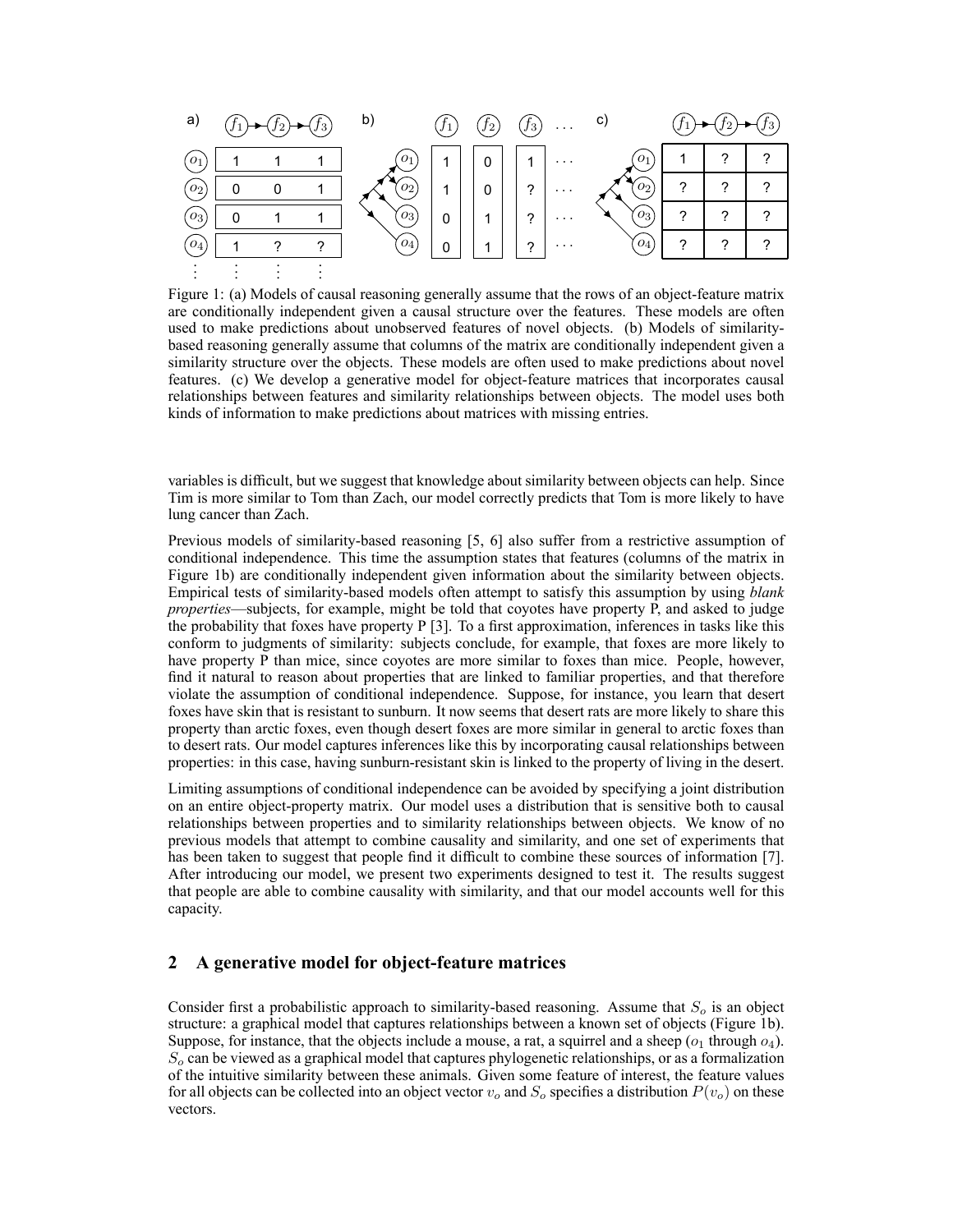

Figure 1: (a) Models of causal reasoning generally assume that the rows of an object-feature matrix are conditionally independent given a causal structure over the features. These models are often used to make predictions about unobserved features of novel objects. (b) Models of similaritybased reasoning generally assume that columns of the matrix are conditionally independent given a similarity structure over the objects. These models are often used to make predictions about novel features. (c) We develop a generative model for object-feature matrices that incorporates causal relationships between features and similarity relationships between objects. The model uses both kinds of information to make predictions about matrices with missing entries.

variables is difficult, but we suggest that knowledge about similarity between objects can help. Since Tim is more similar to Tom than Zach, our model correctly predicts that Tom is more likely to have lung cancer than Zach.

Previous models of similarity-based reasoning [5, 6] also suffer from a restrictive assumption of conditional independence. This time the assumption states that features (columns of the matrix in Figure 1b) are conditionally independent given information about the similarity between objects. Empirical tests of similarity-based models often attempt to satisfy this assumption by using *blank properties*—subjects, for example, might be told that coyotes have property P, and asked to judge the probability that foxes have property  $P \mid 3$ . To a first approximation, inferences in tasks like this conform to judgments of similarity: subjects conclude, for example, that foxes are more likely to have property P than mice, since coyotes are more similar to foxes than mice. People, however, find it natural to reason about properties that are linked to familiar properties, and that therefore violate the assumption of conditional independence. Suppose, for instance, you learn that desert foxes have skin that is resistant to sunburn. It now seems that desert rats are more likely to share this property than arctic foxes, even though desert foxes are more similar in general to arctic foxes than to desert rats. Our model captures inferences like this by incorporating causal relationships between properties: in this case, having sunburn-resistant skin is linked to the property of living in the desert.

Limiting assumptions of conditional independence can be avoided by specifying a joint distribution on an entire object-property matrix. Our model uses a distribution that is sensitive both to causal relationships between properties and to similarity relationships between objects. We know of no previous models that attempt to combine causality and similarity, and one set of experiments that has been taken to suggest that people find it difficult to combine these sources of information [7]. After introducing our model, we present two experiments designed to test it. The results suggest that people are able to combine causality with similarity, and that our model accounts well for this capacity.

## **2 A generative model for object-feature matrices**

Consider first a probabilistic approach to similarity-based reasoning. Assume that  $S<sub>o</sub>$  is an object structure: a graphical model that captures relationships between a known set of objects (Figure 1b). Suppose, for instance, that the objects include a mouse, a rat, a squirrel and a sheep ( $o_1$  through  $o_4$ ).  $S<sub>o</sub>$  can be viewed as a graphical model that captures phylogenetic relationships, or as a formalization of the intuitive similarity between these animals. Given some feature of interest, the feature values for all objects can be collected into an object vector  $v<sub>o</sub>$  and  $S<sub>o</sub>$  specifies a distribution  $P(v<sub>o</sub>)$  on these vectors.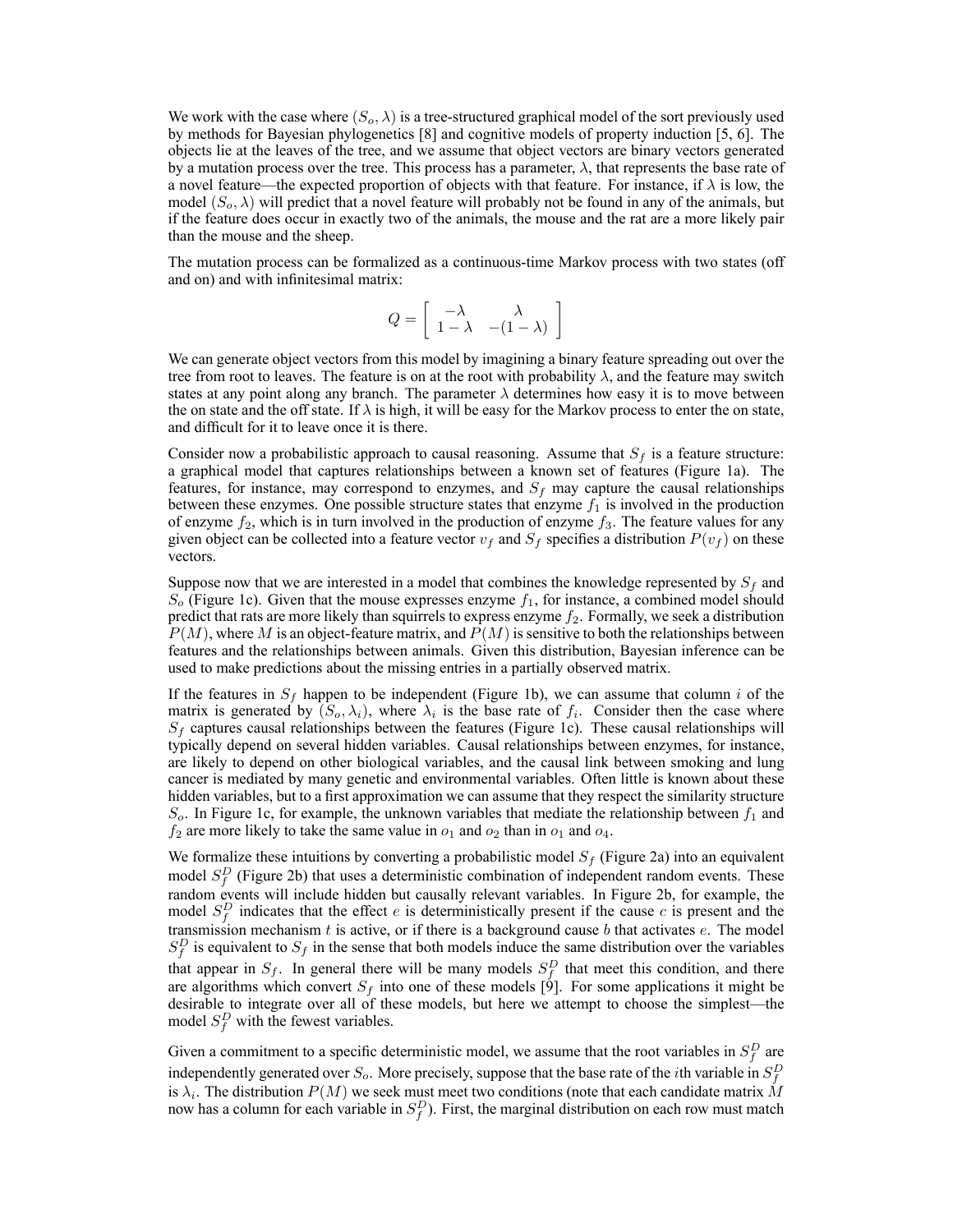We work with the case where  $(S_o, \lambda)$  is a tree-structured graphical model of the sort previously used by methods for Bayesian phylogenetics [8] and cognitive models of property induction [5, 6]. The objects lie at the leaves of the tree, and we assume that object vectors are binary vectors generated by a mutation process over the tree. This process has a parameter,  $\lambda$ , that represents the base rate of a novel feature—the expected proportion of objects with that feature. For instance, if  $\lambda$  is low, the model  $(S_o, \lambda)$  will predict that a novel feature will probably not be found in any of the animals, but if the feature does occur in exactly two of the animals, the mouse and the rat are a more likely pair than the mouse and the sheep.

The mutation process can be formalized as a continuous-time Markov process with two states (off and on) and with infinitesimal matrix:

$$
Q = \left[ \begin{array}{cc} -\lambda & \lambda \\ 1 - \lambda & -(1 - \lambda) \end{array} \right]
$$

We can generate object vectors from this model by imagining a binary feature spreading out over the tree from root to leaves. The feature is on at the root with probability  $\lambda$ , and the feature may switch states at any point along any branch. The parameter  $\lambda$  determines how easy it is to move between the on state and the off state. If  $\lambda$  is high, it will be easy for the Markov process to enter the on state, and difficult for it to leave once it is there.

Consider now a probabilistic approach to causal reasoning. Assume that  $S_f$  is a feature structure: a graphical model that captures relationships between a known set of features (Figure 1a). The features, for instance, may correspond to enzymes, and  $S_f$  may capture the causal relationships between these enzymes. One possible structure states that enzyme  $f_1$  is involved in the production of enzyme  $f_2$ , which is in turn involved in the production of enzyme  $f_3$ . The feature values for any given object can be collected into a feature vector  $v_f$  and  $S_f$  specifies a distribution  $P(v_f)$  on these vectors.

Suppose now that we are interested in a model that combines the knowledge represented by  $S_f$  and  $S<sub>o</sub>$  (Figure 1c). Given that the mouse expresses enzyme  $f<sub>1</sub>$ , for instance, a combined model should predict that rats are more likely than squirrels to express enzyme  $f_2$ . Formally, we seek a distribution  $P(M)$ , where M is an object-feature matrix, and  $P(M)$  is sensitive to both the relationships between features and the relationships between animals. Given this distribution, Bayesian inference can be used to make predictions about the missing entries in a partially observed matrix.

If the features in  $S_f$  happen to be independent (Figure 1b), we can assume that column i of the matrix is generated by  $(S_o, \lambda_i)$ , where  $\lambda_i$  is the base rate of  $f_i$ . Consider then the case where  $S_f$  captures causal relationships between the features (Figure 1c). These causal relationships will typically depend on several hidden variables. Causal relationships between enzymes, for instance, are likely to depend on other biological variables, and the causal link between smoking and lung cancer is mediated by many genetic and environmental variables. Often little is known about these hidden variables, but to a first approximation we can assume that they respect the similarity structure  $S<sub>o</sub>$ . In Figure 1c, for example, the unknown variables that mediate the relationship between  $f<sub>1</sub>$  and  $f_2$  are more likely to take the same value in  $o_1$  and  $o_2$  than in  $o_1$  and  $o_4$ .

We formalize these intuitions by converting a probabilistic model  $S_f$  (Figure 2a) into an equivalent model  $S_f^D$  (Figure 2b) that uses a deterministic combination of independent random events. These random events will include hidden but causally relevant variables. In Figure 2b, for example, the model  $S_f^D$  indicates that the effect e is deterministically present if the cause c is present and the transmission mechanism t is active, or if there is a background cause b that activates  $e$ . The model  $S_f^D$  is equivalent to  $S_f$  in the sense that both models induce the same distribution over the variables that appear in  $S_f$ . In general there will be many models  $S_f^D$  that meet this condition, and there are algorithms which convert  $S_f$  into one of these models [9]. For some applications it might be desirable to integrate over all of these models, but here we attempt to choose the simplest—the model  $S_f^D$  with the fewest variables.

Given a commitment to a specific deterministic model, we assume that the root variables in  $S_f^D$  are independently generated over  $S_o$ . More precisely, suppose that the base rate of the *i*th variable in  $S_f^D$ is  $\lambda_i$ . The distribution  $P(M)$  we seek must meet two conditions (note that each candidate matrix M now has a column for each variable in  $S_f^D$ ). First, the marginal distribution on each row must match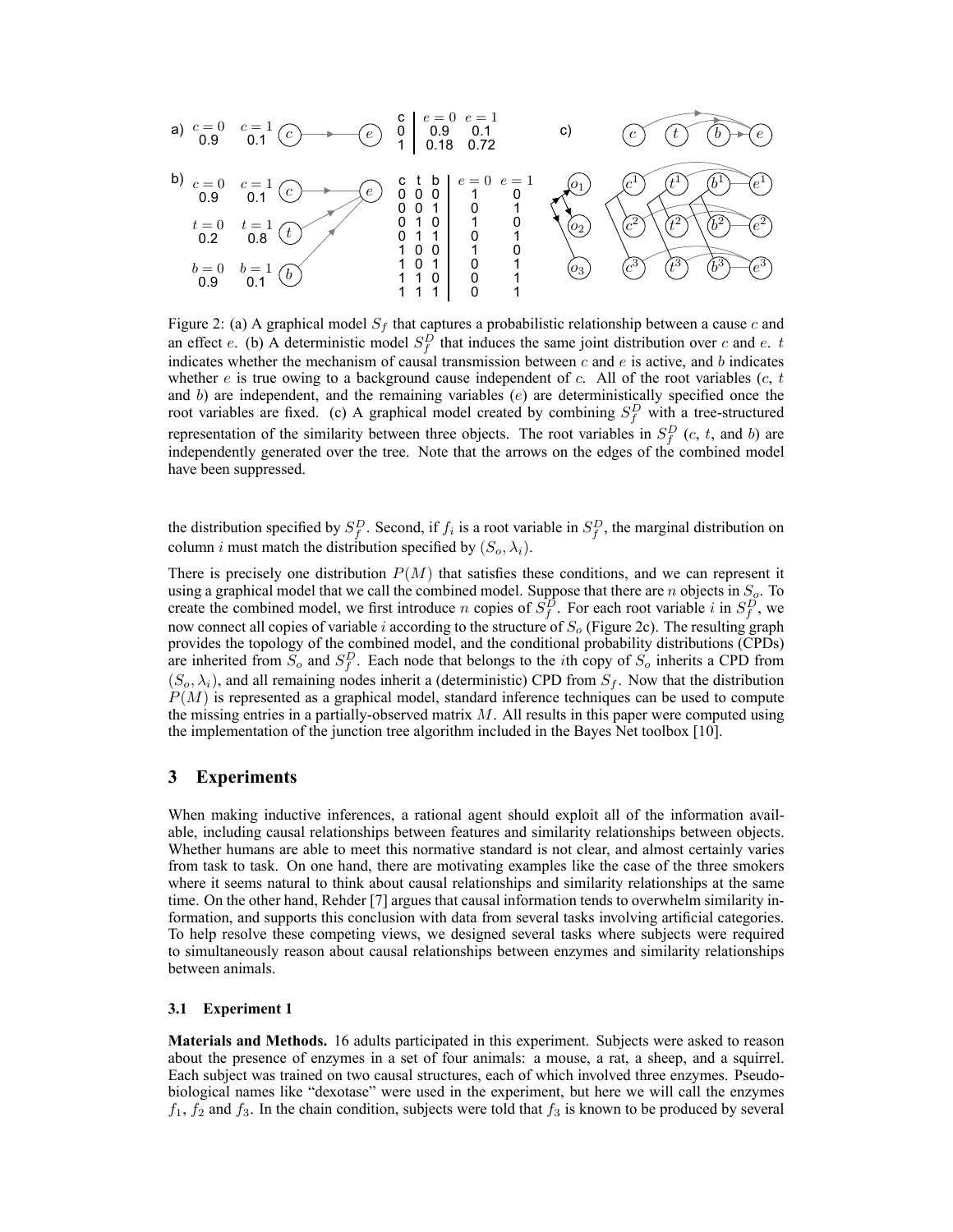

Figure 2: (a) A graphical model  $S_f$  that captures a probabilistic relationship between a cause c and an effect e. (b) A deterministic model  $S_f^D$  that induces the same joint distribution over c and e. t indicates whether the mechanism of causal transmission between  $c$  and  $e$  is active, and  $b$  indicates whether  $e$  is true owing to a background cause independent of c. All of the root variables (c, t and b) are independent, and the remaining variables  $(e)$  are deterministically specified once the root variables are fixed. (c) A graphical model created by combining  $S_f^D$  with a tree-structured representation of the similarity between three objects. The root variables in  $S_f^D$  (c, t, and b) are independently generated over the tree. Note that the arrows on the edges of the combined model have been suppressed.

the distribution specified by  $S_f^D$ . Second, if  $f_i$  is a root variable in  $S_f^D$ , the marginal distribution on column *i* must match the distribution specified by  $(S_o, \lambda_i)$ .

There is precisely one distribution  $P(M)$  that satisfies these conditions, and we can represent it using a graphical model that we call the combined model. Suppose that there are  $n$  objects in  $S<sub>o</sub>$ . To create the combined model, we first introduce *n* copies of  $S_f^D$ . For each root variable *i* in  $S_f^D$ , we now connect all copies of variable i according to the structure of  $S<sub>o</sub>$  (Figure 2c). The resulting graph provides the topology of the combined model, and the conditional probability distributions (CPDs) are inherited from  $S_o$  and  $S_f^D$ . Each node that belongs to the *i*th copy of  $S_o$  inherits a CPD from  $(S_o, \lambda_i)$ , and all remaining nodes inherit a (deterministic) CPD from  $S_f$ . Now that the distribution  $P(M)$  is represented as a graphical model, standard inference techniques can be used to compute the missing entries in a partially-observed matrix  $M$ . All results in this paper were computed using the implementation of the junction tree algorithm included in the Bayes Net toolbox [10].

## **3 Experiments**

When making inductive inferences, a rational agent should exploit all of the information available, including causal relationships between features and similarity relationships between objects. Whether humans are able to meet this normative standard is not clear, and almost certainly varies from task to task. On one hand, there are motivating examples like the case of the three smokers where it seems natural to think about causal relationships and similarity relationships at the same time. On the other hand, Rehder [7] argues that causal information tends to overwhelm similarity information, and supports this conclusion with data from several tasks involving artificial categories. To help resolve these competing views, we designed several tasks where subjects were required to simultaneously reason about causal relationships between enzymes and similarity relationships between animals.

#### **3.1 Experiment 1**

**Materials and Methods.** 16 adults participated in this experiment. Subjects were asked to reason about the presence of enzymes in a set of four animals: a mouse, a rat, a sheep, and a squirrel. Each subject was trained on two causal structures, each of which involved three enzymes. Pseudobiological names like "dexotase" were used in the experiment, but here we will call the enzymes  $f_1$ ,  $f_2$  and  $f_3$ . In the chain condition, subjects were told that  $f_3$  is known to be produced by several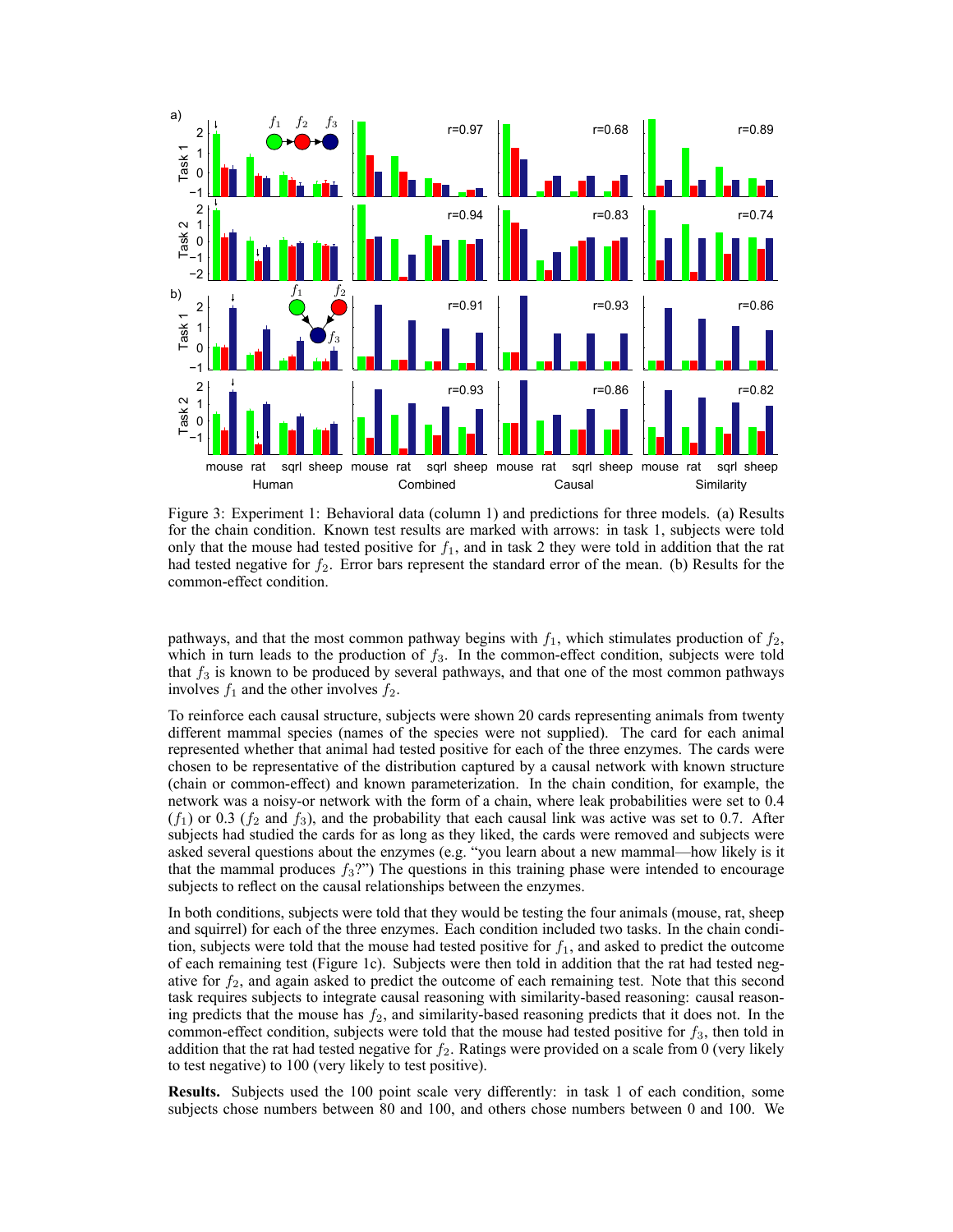

Figure 3: Experiment 1: Behavioral data (column 1) and predictions for three models. (a) Results for the chain condition. Known test results are marked with arrows: in task 1, subjects were told only that the mouse had tested positive for  $f_1$ , and in task 2 they were told in addition that the rat had tested negative for  $f_2$ . Error bars represent the standard error of the mean. (b) Results for the common-effect condition.

pathways, and that the most common pathway begins with  $f_1$ , which stimulates production of  $f_2$ , which in turn leads to the production of  $f_3$ . In the common-effect condition, subjects were told that  $f_3$  is known to be produced by several pathways, and that one of the most common pathways involves  $f_1$  and the other involves  $f_2$ .

To reinforce each causal structure, subjects were shown 20 cards representing animals from twenty different mammal species (names of the species were not supplied). The card for each animal represented whether that animal had tested positive for each of the three enzymes. The cards were chosen to be representative of the distribution captured by a causal network with known structure (chain or common-effect) and known parameterization. In the chain condition, for example, the network was a noisy-or network with the form of a chain, where leak probabilities were set to 0.4  $(f_1)$  or 0.3  $(f_2$  and  $f_3$ ), and the probability that each causal link was active was set to 0.7. After subjects had studied the cards for as long as they liked, the cards were removed and subjects were asked several questions about the enzymes (e.g. "you learn about a new mammal—how likely is it that the mammal produces  $f_3$ ?") The questions in this training phase were intended to encourage subjects to reflect on the causal relationships between the enzymes.

In both conditions, subjects were told that they would be testing the four animals (mouse, rat, sheep and squirrel) for each of the three enzymes. Each condition included two tasks. In the chain condition, subjects were told that the mouse had tested positive for  $f_1$ , and asked to predict the outcome of each remaining test (Figure 1c). Subjects were then told in addition that the rat had tested negative for  $f_2$ , and again asked to predict the outcome of each remaining test. Note that this second task requires subjects to integrate causal reasoning with similarity-based reasoning: causal reasoning predicts that the mouse has  $f_2$ , and similarity-based reasoning predicts that it does not. In the common-effect condition, subjects were told that the mouse had tested positive for  $f_3$ , then told in addition that the rat had tested negative for  $f_2$ . Ratings were provided on a scale from 0 (very likely to test negative) to 100 (very likely to test positive).

**Results.** Subjects used the 100 point scale very differently: in task 1 of each condition, some subjects chose numbers between 80 and 100, and others chose numbers between 0 and 100. We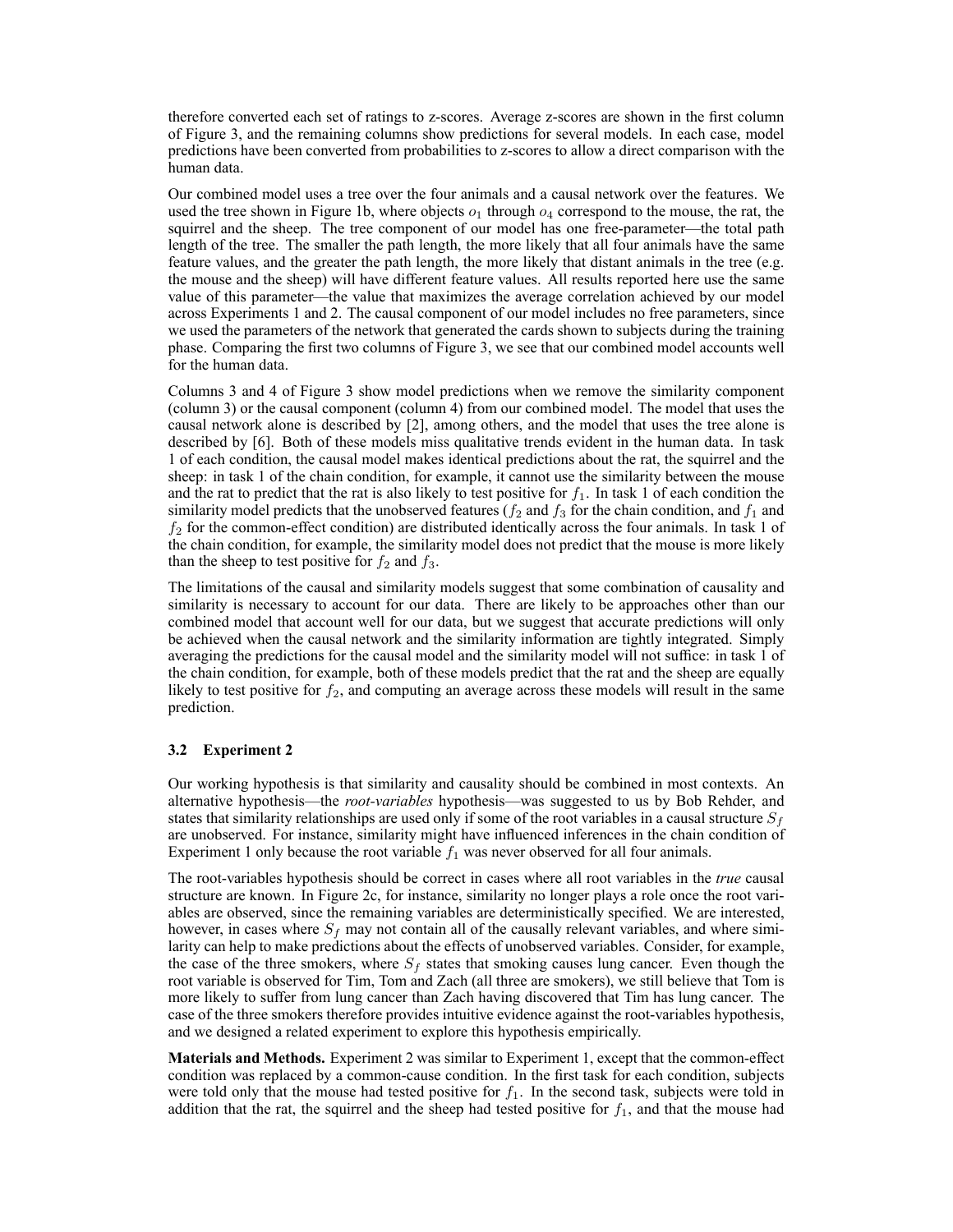therefore converted each set of ratings to z-scores. Average z-scores are shown in the first column of Figure 3, and the remaining columns show predictions for several models. In each case, model predictions have been converted from probabilities to z-scores to allow a direct comparison with the human data.

Our combined model uses a tree over the four animals and a causal network over the features. We used the tree shown in Figure 1b, where objects  $o_1$  through  $o_4$  correspond to the mouse, the rat, the squirrel and the sheep. The tree component of our model has one free-parameter—the total path length of the tree. The smaller the path length, the more likely that all four animals have the same feature values, and the greater the path length, the more likely that distant animals in the tree (e.g. the mouse and the sheep) will have different feature values. All results reported here use the same value of this parameter—the value that maximizes the average correlation achieved by our model across Experiments 1 and 2. The causal component of our model includes no free parameters, since we used the parameters of the network that generated the cards shown to subjects during the training phase. Comparing the first two columns of Figure 3, we see that our combined model accounts well for the human data.

Columns 3 and 4 of Figure 3 show model predictions when we remove the similarity component (column 3) or the causal component (column 4) from our combined model. The model that uses the causal network alone is described by [2], among others, and the model that uses the tree alone is described by [6]. Both of these models miss qualitative trends evident in the human data. In task 1 of each condition, the causal model makes identical predictions about the rat, the squirrel and the sheep: in task 1 of the chain condition, for example, it cannot use the similarity between the mouse and the rat to predict that the rat is also likely to test positive for  $f_1$ . In task 1 of each condition the similarity model predicts that the unobserved features ( $f_2$  and  $f_3$  for the chain condition, and  $f_1$  and  $f_2$  for the common-effect condition) are distributed identically across the four animals. In task 1 of the chain condition, for example, the similarity model does not predict that the mouse is more likely than the sheep to test positive for  $f_2$  and  $f_3$ .

The limitations of the causal and similarity models suggest that some combination of causality and similarity is necessary to account for our data. There are likely to be approaches other than our combined model that account well for our data, but we suggest that accurate predictions will only be achieved when the causal network and the similarity information are tightly integrated. Simply averaging the predictions for the causal model and the similarity model will not suffice: in task 1 of the chain condition, for example, both of these models predict that the rat and the sheep are equally likely to test positive for  $f_2$ , and computing an average across these models will result in the same prediction.

## **3.2 Experiment 2**

Our working hypothesis is that similarity and causality should be combined in most contexts. An alternative hypothesis—the *root-variables* hypothesis—was suggested to us by Bob Rehder, and states that similarity relationships are used only if some of the root variables in a causal structure  $S_f$ are unobserved. For instance, similarity might have influenced inferences in the chain condition of Experiment 1 only because the root variable  $f_1$  was never observed for all four animals.

The root-variables hypothesis should be correct in cases where all root variables in the *true* causal structure are known. In Figure 2c, for instance, similarity no longer plays a role once the root variables are observed, since the remaining variables are deterministically specified. We are interested, however, in cases where  $S_f$  may not contain all of the causally relevant variables, and where similarity can help to make predictions about the effects of unobserved variables. Consider, for example, the case of the three smokers, where  $S_f$  states that smoking causes lung cancer. Even though the root variable is observed for Tim, Tom and Zach (all three are smokers), we still believe that Tom is more likely to suffer from lung cancer than Zach having discovered that Tim has lung cancer. The case of the three smokers therefore provides intuitive evidence against the root-variables hypothesis, and we designed a related experiment to explore this hypothesis empirically.

**Materials and Methods.** Experiment 2 was similar to Experiment 1, except that the common-effect condition was replaced by a common-cause condition. In the first task for each condition, subjects were told only that the mouse had tested positive for  $f_1$ . In the second task, subjects were told in addition that the rat, the squirrel and the sheep had tested positive for  $f_1$ , and that the mouse had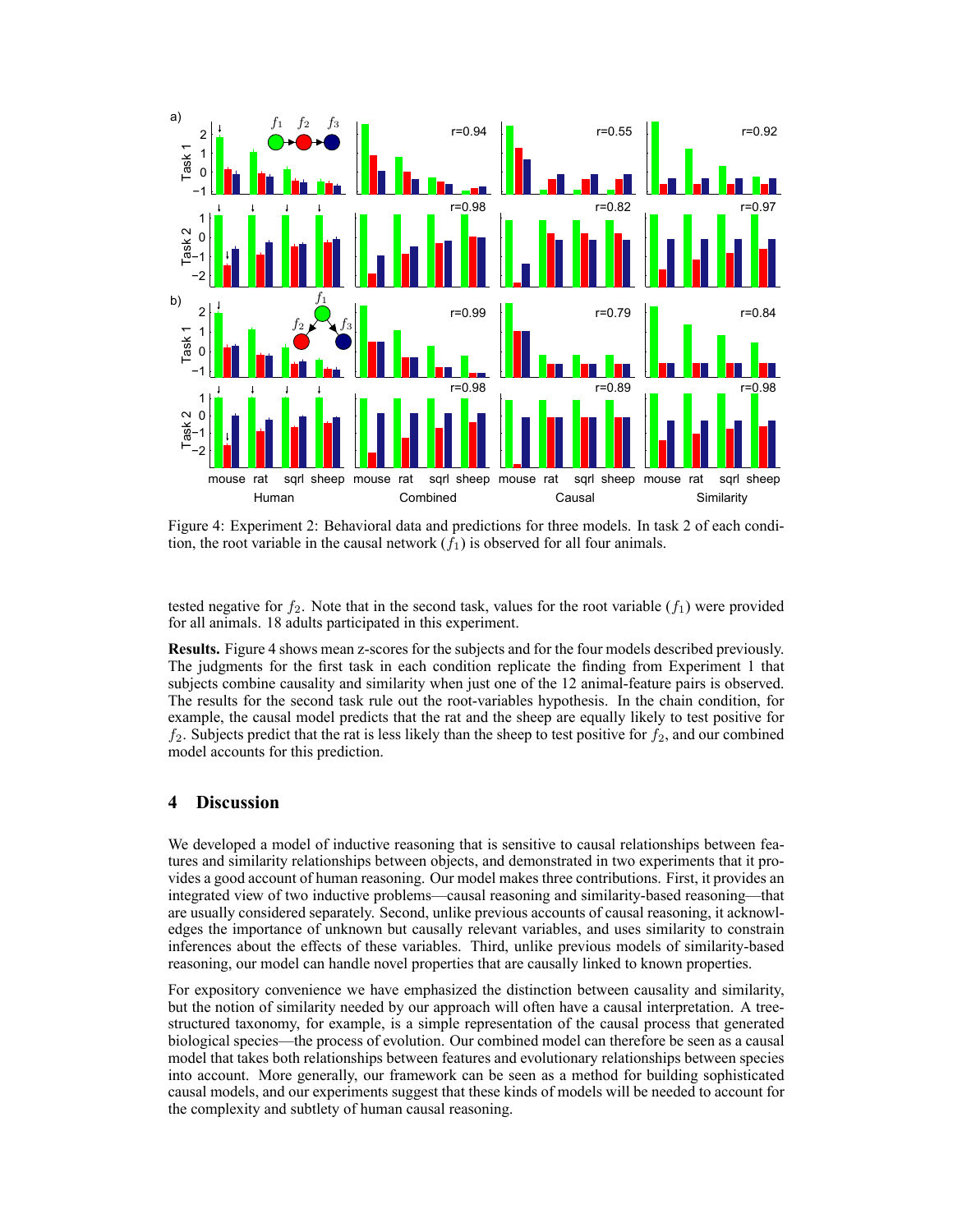

Figure 4: Experiment 2: Behavioral data and predictions for three models. In task 2 of each condition, the root variable in the causal network  $(f_1)$  is observed for all four animals.

tested negative for  $f_2$ . Note that in the second task, values for the root variable  $(f_1)$  were provided for all animals. 18 adults participated in this experiment.

**Results.** Figure 4 shows mean z-scores for the subjects and for the four models described previously. The judgments for the first task in each condition replicate the finding from Experiment 1 that subjects combine causality and similarity when just one of the 12 animal-feature pairs is observed. The results for the second task rule out the root-variables hypothesis. In the chain condition, for example, the causal model predicts that the rat and the sheep are equally likely to test positive for  $f_2$ . Subjects predict that the rat is less likely than the sheep to test positive for  $f_2$ , and our combined model accounts for this prediction.

## **4 Discussion**

We developed a model of inductive reasoning that is sensitive to causal relationships between features and similarity relationships between objects, and demonstrated in two experiments that it provides a good account of human reasoning. Our model makes three contributions. First, it provides an integrated view of two inductive problems—causal reasoning and similarity-based reasoning—that are usually considered separately. Second, unlike previous accounts of causal reasoning, it acknowledges the importance of unknown but causally relevant variables, and uses similarity to constrain inferences about the effects of these variables. Third, unlike previous models of similarity-based reasoning, our model can handle novel properties that are causally linked to known properties.

For expository convenience we have emphasized the distinction between causality and similarity, but the notion of similarity needed by our approach will often have a causal interpretation. A treestructured taxonomy, for example, is a simple representation of the causal process that generated biological species—the process of evolution. Our combined model can therefore be seen as a causal model that takes both relationships between features and evolutionary relationships between species into account. More generally, our framework can be seen as a method for building sophisticated causal models, and our experiments suggest that these kinds of models will be needed to account for the complexity and subtlety of human causal reasoning.